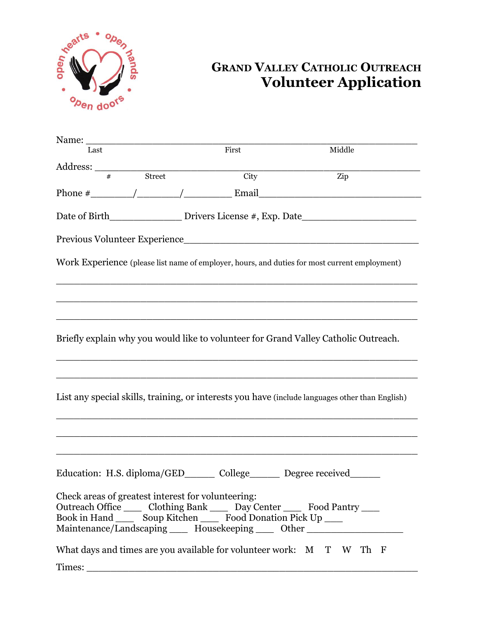

## **GRAND VALLEY CATHOLIC OUTREACH Volunteer Application**

| Name:                                                                                                                                                                                                                                                                             |                   |                                                                                   |
|-----------------------------------------------------------------------------------------------------------------------------------------------------------------------------------------------------------------------------------------------------------------------------------|-------------------|-----------------------------------------------------------------------------------|
| Last                                                                                                                                                                                                                                                                              | First             | Middle                                                                            |
|                                                                                                                                                                                                                                                                                   |                   |                                                                                   |
| Address:<br><del>#</del> Street                                                                                                                                                                                                                                                   | $\overline{City}$ | Zip                                                                               |
|                                                                                                                                                                                                                                                                                   |                   |                                                                                   |
|                                                                                                                                                                                                                                                                                   |                   | Date of Birth____________________Drivers License #, Exp. Date____________________ |
|                                                                                                                                                                                                                                                                                   |                   |                                                                                   |
| Work Experience (please list name of employer, hours, and duties for most current employment)                                                                                                                                                                                     |                   |                                                                                   |
|                                                                                                                                                                                                                                                                                   |                   |                                                                                   |
| Briefly explain why you would like to volunteer for Grand Valley Catholic Outreach.                                                                                                                                                                                               |                   |                                                                                   |
| List any special skills, training, or interests you have (include languages other than English)                                                                                                                                                                                   |                   |                                                                                   |
|                                                                                                                                                                                                                                                                                   |                   |                                                                                   |
| Education: H.S. diploma/GED________ College_________ Degree received_______                                                                                                                                                                                                       |                   |                                                                                   |
| Check areas of greatest interest for volunteering:<br>Outreach Office ______ Clothing Bank ______ Day Center ______ Food Pantry _____<br>Book in Hand _______ Soup Kitchen _______ Food Donation Pick Up _____<br>Maintenance/Landscaping _____ Housekeeping _____ Other ________ |                   |                                                                                   |
| What days and times are you available for volunteer work: M T W Th F                                                                                                                                                                                                              |                   |                                                                                   |
| Times:                                                                                                                                                                                                                                                                            |                   |                                                                                   |